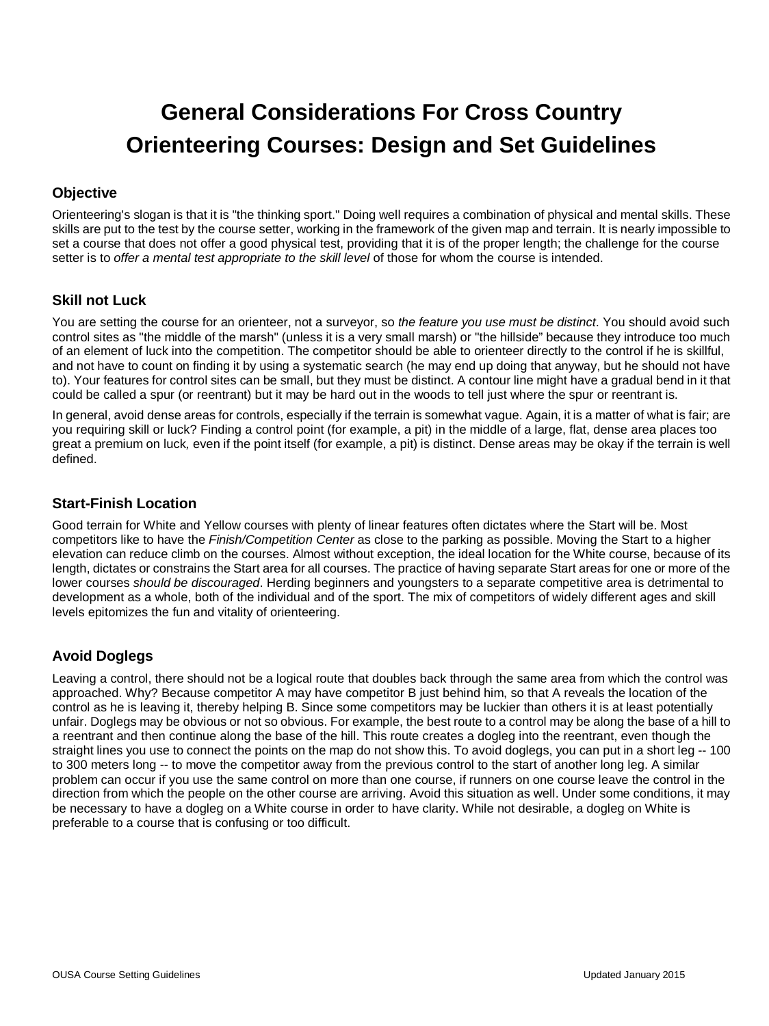# **General Considerations For Cross Country Orienteering Courses: Design and Set Guidelines**

# **Objective**

Orienteering's slogan is that it is "the thinking sport." Doing well requires a combination of physical and mental skills. These skills are put to the test by the course setter, working in the framework of the given map and terrain. It is nearly impossible to set a course that does not offer a good physical test, providing that it is of the proper length; the challenge for the course setter is to *offer a mental test appropriate to the skill level* of those for whom the course is intended.

# **Skill not Luck**

You are setting the course for an orienteer, not a surveyor, so *the feature you use must be distinct*. You should avoid such control sites as "the middle of the marsh" (unless it is a very small marsh) or "the hillside" because they introduce too much of an element of luck into the competition. The competitor should be able to orienteer directly to the control if he is skillful, and not have to count on finding it by using a systematic search (he may end up doing that anyway, but he should not have to). Your features for control sites can be small, but they must be distinct. A contour line might have a gradual bend in it that could be called a spur (or reentrant) but it may be hard out in the woods to tell just where the spur or reentrant is.

In general, avoid dense areas for controls, especially if the terrain is somewhat vague. Again, it is a matter of what is fair; are you requiring skill or luck? Finding a control point (for example, a pit) in the middle of a large, flat, dense area places too great a premium on luck*,* even if the point itself (for example, a pit) is distinct. Dense areas may be okay if the terrain is well defined.

#### **Start-Finish Location**

Good terrain for White and Yellow courses with plenty of linear features often dictates where the Start will be. Most competitors like to have the *Finish/Competition Center* as close to the parking as possible. Moving the Start to a higher elevation can reduce climb on the courses. Almost without exception, the ideal location for the White course, because of its length, dictates or constrains the Start area for all courses. The practice of having separate Start areas for one or more of the lower courses *should be discouraged*. Herding beginners and youngsters to a separate competitive area is detrimental to development as a whole, both of the individual and of the sport. The mix of competitors of widely different ages and skill levels epitomizes the fun and vitality of orienteering.

# **Avoid Doglegs**

Leaving a control, there should not be a logical route that doubles back through the same area from which the control was approached. Why? Because competitor A may have competitor B just behind him, so that A reveals the location of the control as he is leaving it, thereby helping B. Since some competitors may be luckier than others it is at least potentially unfair. Doglegs may be obvious or not so obvious. For example, the best route to a control may be along the base of a hill to a reentrant and then continue along the base of the hill. This route creates a dogleg into the reentrant, even though the straight lines you use to connect the points on the map do not show this. To avoid doglegs, you can put in a short leg -- 100 to 300 meters long -- to move the competitor away from the previous control to the start of another long leg. A similar problem can occur if you use the same control on more than one course, if runners on one course leave the control in the direction from which the people on the other course are arriving. Avoid this situation as well. Under some conditions, it may be necessary to have a dogleg on a White course in order to have clarity. While not desirable, a dogleg on White is preferable to a course that is confusing or too difficult.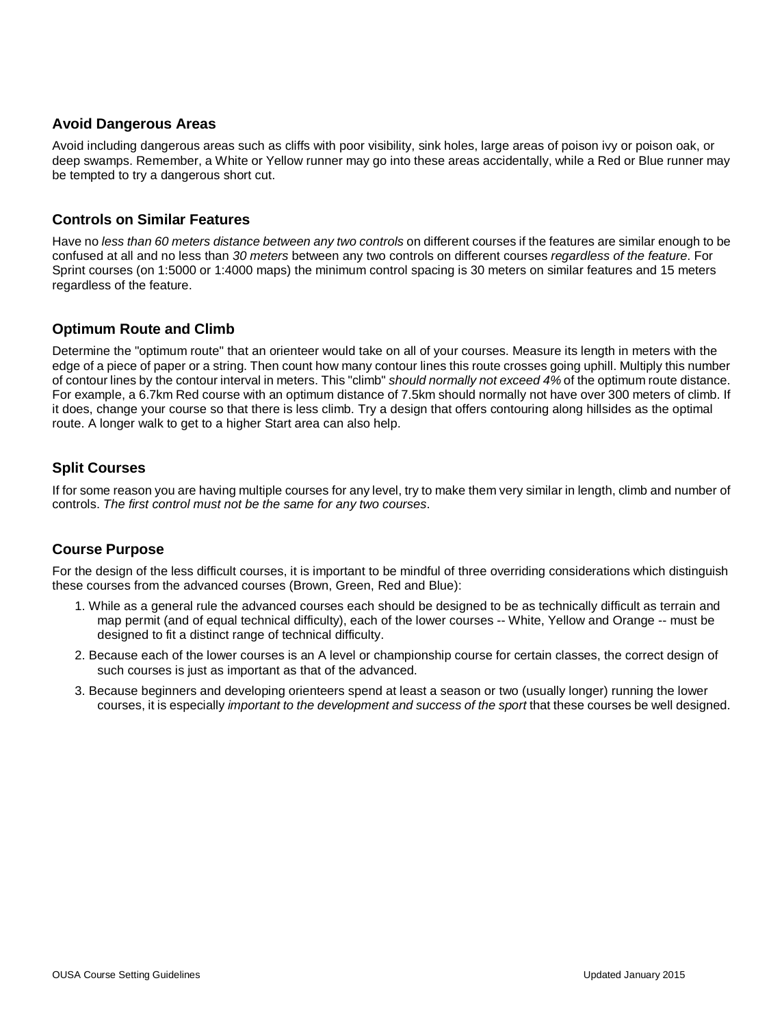#### **Avoid Dangerous Areas**

Avoid including dangerous areas such as cliffs with poor visibility, sink holes, large areas of poison ivy or poison oak, or deep swamps. Remember, a White or Yellow runner may go into these areas accidentally, while a Red or Blue runner may be tempted to try a dangerous short cut.

#### **Controls on Similar Features**

Have no *less than 60 meters distance between any two controls* on different courses if the features are similar enough to be confused at all and no less than *30 meters* between any two controls on different courses *regardless of the feature*. For Sprint courses (on 1:5000 or 1:4000 maps) the minimum control spacing is 30 meters on similar features and 15 meters regardless of the feature.

# **Optimum Route and Climb**

Determine the "optimum route" that an orienteer would take on all of your courses. Measure its length in meters with the edge of a piece of paper or a string. Then count how many contour lines this route crosses going uphill. Multiply this number of contour lines by the contour interval in meters. This "climb" *should normally not exceed 4%* of the optimum route distance. For example, a 6.7km Red course with an optimum distance of 7.5km should normally not have over 300 meters of climb. If it does, change your course so that there is less climb. Try a design that offers contouring along hillsides as the optimal route. A longer walk to get to a higher Start area can also help.

# **Split Courses**

If for some reason you are having multiple courses for any level, try to make them very similar in length, climb and number of controls. *The first control must not be the same for any two courses*.

# **Course Purpose**

For the design of the less difficult courses, it is important to be mindful of three overriding considerations which distinguish these courses from the advanced courses (Brown, Green, Red and Blue):

- 1. While as a general rule the advanced courses each should be designed to be as technically difficult as terrain and map permit (and of equal technical difficulty), each of the lower courses -- White, Yellow and Orange -- must be designed to fit a distinct range of technical difficulty.
- 2. Because each of the lower courses is an A level or championship course for certain classes, the correct design of such courses is just as important as that of the advanced.
- 3. Because beginners and developing orienteers spend at least a season or two (usually longer) running the lower courses, it is especially *important to the development and success of the sport* that these courses be well designed.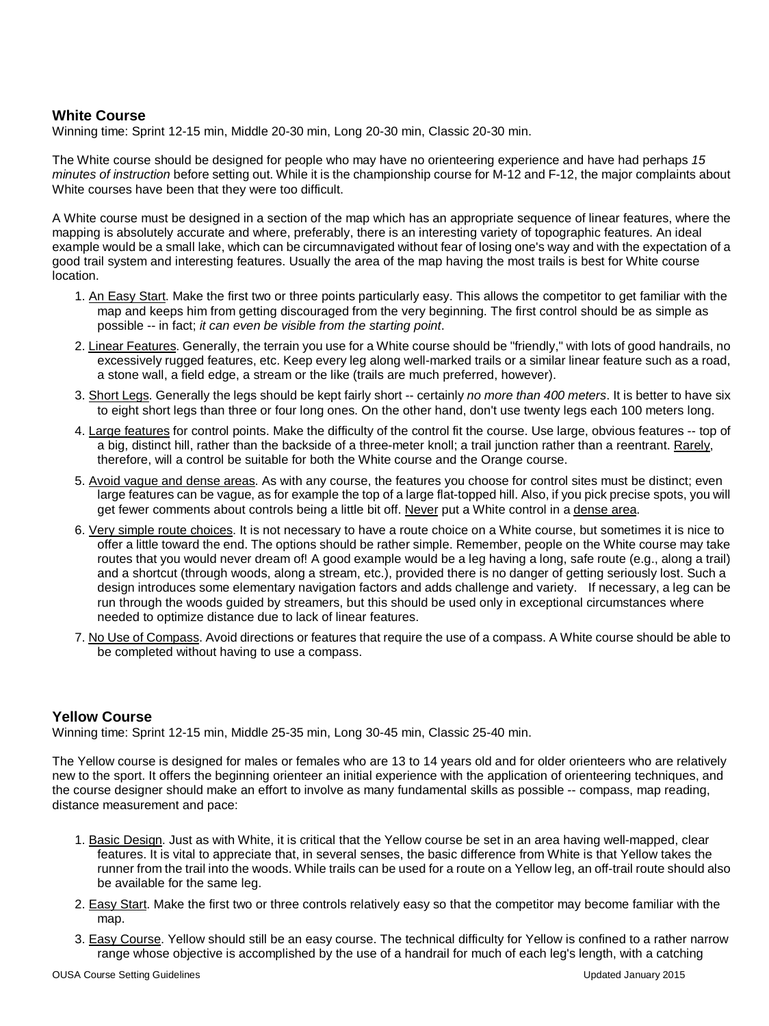#### **White Course**

Winning time: Sprint 12-15 min, Middle 20-30 min, Long 20-30 min, Classic 20-30 min.

The White course should be designed for people who may have no orienteering experience and have had perhaps *15 minutes of instruction* before setting out. While it is the championship course for M-12 and F-12, the major complaints about White courses have been that they were too difficult.

A White course must be designed in a section of the map which has an appropriate sequence of linear features, where the mapping is absolutely accurate and where, preferably, there is an interesting variety of topographic features. An ideal example would be a small lake, which can be circumnavigated without fear of losing one's way and with the expectation of a good trail system and interesting features. Usually the area of the map having the most trails is best for White course location.

- 1. An Easy Start. Make the first two or three points particularly easy. This allows the competitor to get familiar with the map and keeps him from getting discouraged from the very beginning. The first control should be as simple as possible -- in fact; *it can even be visible from the starting point*.
- 2. <u>Linear Features</u>. Generally, the terrain you use for a White course should be "friendly," with lots of good handrails, no excessively rugged features, etc. Keep every leg along well-marked trails or a similar linear feature such as a road, a stone wall, a field edge, a stream or the like (trails are much preferred, however).
- 3. Short Legs . Generally the legs should be kept fairly short -- certainly *no more than 400 meters*. It is better to have six to eight short legs than three or four long ones. On the other hand, don't use twenty legs each 100 meters long.
- 4. <u>Large features</u> for control points. Make the difficulty of the control fit the course. Use large, obvious features -- top of a big, distinct hill, rather than the backside of a three-meter knoll; a trail junction rather than a reentrant. <u>Rarely,</u> therefore, will a control be suitable for both the White course and the Orange course.
- 5. Avoid vague and dense areas</u>. As with any course, the features you choose for control sites must be distinct; even large features can be vague, as for example the top of a large flat-topped hill. Also, if you pick precise spots, you will get fewer comments about controls being a little bit off. <u>Never</u> put a White control in a <u>dense area</u>.
- 6. Very simple route choices. It is not necessary to have a route choice on a White course, but sometimes it is nice to offer a little toward the end. The options should be rather simple. Remember, people on the White course may take routes that you would never dream of! A good example would be a leg having a long, safe route (e.g., along a trail) and a shortcut (through woods, along a stream, etc.), provided there is no danger of getting seriously lost. Such a design introduces some elementary navigation factors and adds challenge and variety. If necessary, a leg can be run through the woods guided by streamers, but this should be used only in exceptional circumstances where needed to optimize distance due to lack of linear features.
- 7. <u>No Use of Compass</u>. Avoid directions or features that require the use of a compass. A White course should be able to be completed without having to use a compass.

# **Yellow Course**

Winning time: Sprint 12-15 min, Middle 25-35 min, Long 30-45 min, Classic 25-40 min.

The Yellow course is designed for males or females who are 13 to 14 years old and for older orienteers who are relatively new to the sport. It offers the beginning orienteer an initial experience with the application of orienteering techniques, and the course designer should make an effort to involve as many fundamental skills as possible -- compass, map reading, distance measurement and pace:

- 1. <u>Basic Design</u>. Just as with White, it is critical that the Yellow course be set in an area having well-mapped, clear features. It is vital to appreciate that, in several senses, the basic difference from White is that Yellow takes the runner from the trail into the woods. While trails can be used for a route on a Yellow leg, an off-trail route should also be available for the same leg.
- 2. <u>Easy Start</u>. Make the first two or three controls relatively easy so that the competitor may become familiar with the map.
- 3. <u>Easy Course</u>. Yellow should still be an easy course. The technical difficulty for Yellow is confined to a rather narrow range whose objective is accomplished by the use of a handrail for much of each leg's length, with a catching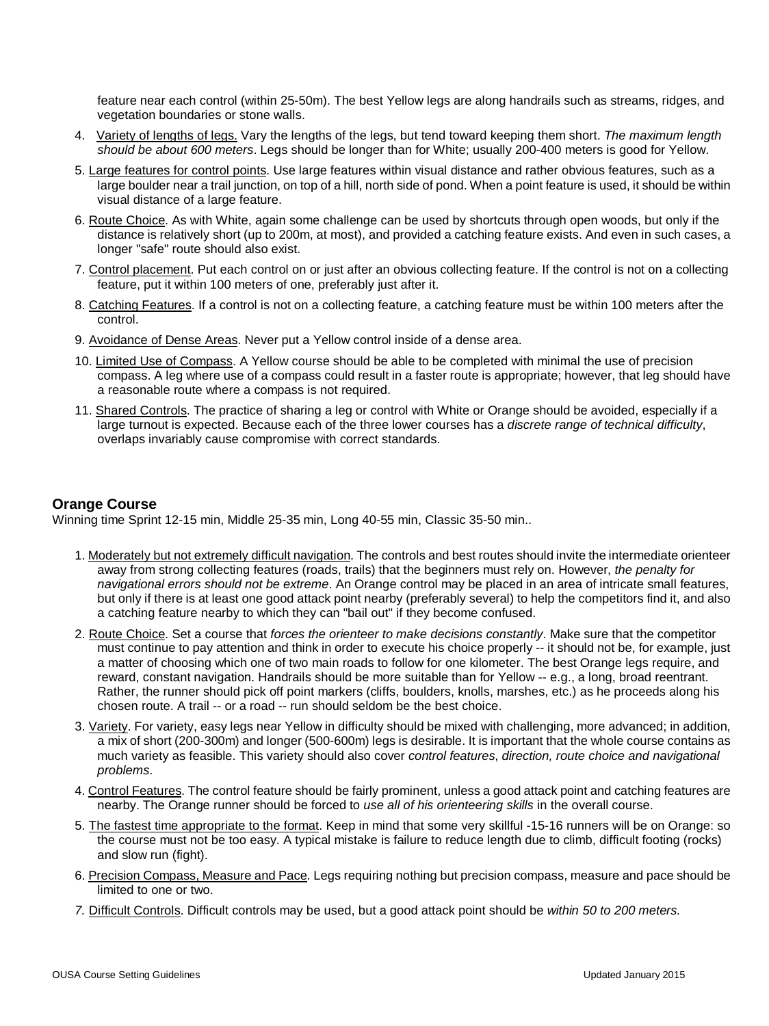feature near each control (within 25-50m). The best Yellow legs are along handrails such as streams, ridges, and vegetation boundaries or stone walls.

- 4. Variety of lengths of legs. Vary the lengths of the legs, but tend toward keeping them short. *The maximum length should be about 600 meters*. Legs should be longer than for White; usually 200-400 meters is good for Yellow.
- 5. <u>Large features for control points</u>. Use large features within visual distance and rather obvious features, such as a large boulder near a trail junction, on top of a hill, north side of pond. When a point feature is used, it should be within visual distance of a large feature.
- 6. <u>Route Choice</u>. As with White, again some challenge can be used by shortcuts through open woods, but only if the distance is relatively short (up to 200m, at most), and provided a catching feature exists. And even in such cases, a longer "safe" route should also exist.
- 7. Control placement. Put each control on or just after an obvious collecting feature. If the control is not on a collecting feature, put it within 100 meters of one, preferably just after it.
- 8. <u>Catching Features</u>. If a control is not on a collecting feature, a catching feature must be within 100 meters after the control.
- 9. Avoidance of Dense Areas. Never put a Yellow control inside of a dense area.
- 10. Limited Use of Compass. A Yellow course should be able to be completed with minimal the use of precision compass. A leg where use of a compass could result in a faster route is appropriate; however, that leg should have a reasonable route where a compass is not required.
- 11. <u>Shared Controls</u>. The practice of sharing a leg or control with White or Orange should be avoided, especially if a large turnout is expected. Because each of the three lower courses has a *discrete range of technical difficulty*, overlaps invariably cause compromise with correct standards.

#### **Orange Course**

Winning time Sprint 12-15 min, Middle 25-35 min, Long 40-55 min, Classic 35-50 min..

- 1. Moderately but not extremely difficult navigation. The controls and best routes should invite the intermediate orienteer away from strong collecting features (roads, trails) that the beginners must rely on. However, *the penalty for navigational errors should not be extreme*. An Orange control may be placed in an area of intricate small features, but only if there is at least one good attack point nearby (preferably several) to help the competitors find it, and also a catching feature nearby to which they can "bail out" if they become confused.
- 2. Route Choice . Set a course that *forces the orienteer to make decisions constantly*. Make sure that the competitor must continue to pay attention and think in order to execute his choice properly -- it should not be, for example, just a matter of choosing which one of two main roads to follow for one kilometer. The best Orange legs require, and reward, constant navigation. Handrails should be more suitable than for Yellow -- e.g., a long, broad reentrant. Rather, the runner should pick off point markers (cliffs, boulders, knolls, marshes, etc.) as he proceeds along his chosen route. A trail -- or a road -- run should seldom be the best choice.
- 3. <u>Variety</u>. For variety, easy legs near Yellow in difficulty should be mixed with challenging, more advanced; in addition, a mix of short (200-300m) and longer (500-600m) legs is desirable. It is important that the whole course contains as much variety as feasible. This variety should also cover *control features*, *direction, route choice and navigational problems*.
- 4. Control Features. The control feature should be fairly prominent, unless a good attack point and catching features are nearby. The Orange runner should be forced to *use all of his orienteering skills* in the overall course.
- 5. <u>The fastest time appropriate to the format</u>. Keep in mind that some very skillful -15-16 runners will be on Orange: so the course must not be too easy. A typical mistake is failure to reduce length due to climb, difficult footing (rocks) and slow run (fight).
- 6. Precision Compass, Measure and Pace. Legs requiring nothing but precision compass, measure and pace should be limited to one or two.
- *7.*  Difficult Controls. Difficult controls may be used, but a good attack point should be *within 50 to 200 meters.*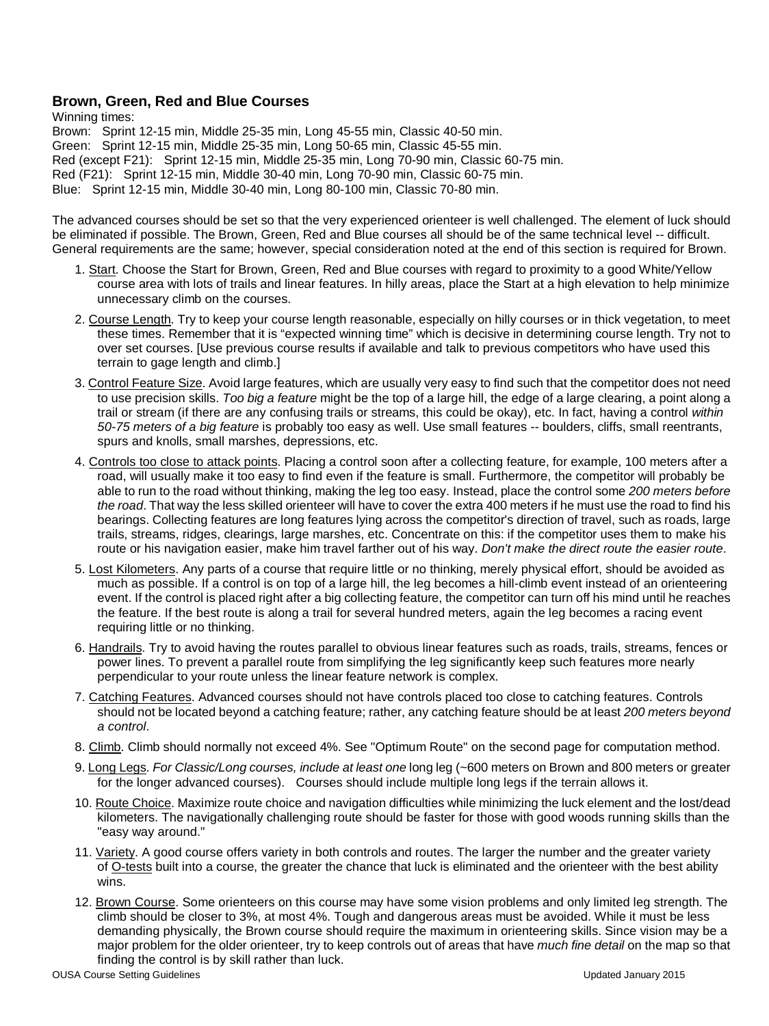#### **Brown, Green, Red and Blue Courses**

Winning times: Brown: Sprint 12-15 min, Middle 25-35 min, Long 45-55 min, Classic 40-50 min. Green: Sprint 12-15 min, Middle 25-35 min, Long 50-65 min, Classic 45-55 min. Red (except F21): Sprint 12-15 min, Middle 25-35 min, Long 70-90 min, Classic 60-75 min. Red (F21): Sprint 12-15 min, Middle 30-40 min, Long 70-90 min, Classic 60-75 min. Blue: Sprint 12-15 min, Middle 30-40 min, Long 80-100 min, Classic 70-80 min.

The advanced courses should be set so that the very experienced orienteer is well challenged. The element of luck should be eliminated if possible. The Brown, Green, Red and Blue courses all should be of the same technical level -- difficult. General requirements are the same; however, special consideration noted at the end of this section is required for Brown.

- 1. <u>Start</u>. Choose the Start for Brown, Green, Red and Blue courses with regard to proximity to a good White/Yellow course area with lots of trails and linear features. In hilly areas, place the Start at a high elevation to help minimize unnecessary climb on the courses.
- 2. Course Length. Try to keep your course length reasonable, especially on hilly courses or in thick vegetation, to meet these times. Remember that it is "expected winning time" which is decisive in determining course length. Try not to over set courses. [Use previous course results if available and talk to previous competitors who have used this terrain to gage length and climb.]
- 3. Control Feature Size. Avoid large features, which are usually very easy to find such that the competitor does not need to use precision skills. *Too big a feature* might be the top of a large hill, the edge of a large clearing, a point along a trail or stream (if there are any confusing trails or streams, this could be okay), etc. In fact, having a control *within 50-75 meters of a big feature* is probably too easy as well. Use small features -- boulders, cliffs, small reentrants, spurs and knolls, small marshes, depressions, etc.
- 4. Controls too close to attack points. Placing a control soon after a collecting feature, for example, 100 meters after a road, will usually make it too easy to find even if the feature is small. Furthermore, the competitor will probably be able to run to the road without thinking, making the leg too easy. Instead, place the control some *200 meters before the road*. That way the less skilled orienteer will have to cover the extra 400 meters if he must use the road to find his bearings. Collecting features are long features lying across the competitor's direction of travel, such as roads, large trails, streams, ridges, clearings, large marshes, etc. Concentrate on this: if the competitor uses them to make his route or his navigation easier, make him travel farther out of his way. *Don't make the direct route the easier route*.
- 5. <u>Lost Kilometers</u>. Any parts of a course that require little or no thinking, merely physical effort, should be avoided as much as possible. If a control is on top of a large hill, the leg becomes a hill-climb event instead of an orienteering event. If the control is placed right after a big collecting feature, the competitor can turn off his mind until he reaches the feature. If the best route is along a trail for several hundred meters, again the leg becomes a racing event requiring little or no thinking.
- 6. <u>Handrails</u>. Try to avoid having the routes parallel to obvious linear features such as roads, trails, streams, fences or power lines. To prevent a parallel route from simplifying the leg significantly keep such features more nearly perpendicular to your route unless the linear feature network is complex.
- 7. <u>Catching Features</u>. Advanced courses should not have controls placed too close to catching features. Controls should not be located beyond a catching feature; rather, any catching feature should be at least *200 meters beyond a control*.
- 8. Climb. Climb should normally not exceed 4%. See "Optimum Route" on the second page for computation method.
- 9. Long Legs . *For Classic/Long courses, include at least one* long leg (~600 meters on Brown and 800 meters or greater for the longer advanced courses). Courses should include multiple long legs if the terrain allows it.
- 10. Route Choice. Maximize route choice and navigation difficulties while minimizing the luck element and the lost/dead kilometers. The navigationally challenging route should be faster for those with good woods running skills than the "easy way around."
- 11. Variety. A good course offers variety in both controls and routes. The larger the number and the greater variety of <u>O-tests</u> built into a course, the greater the chance that luck is eliminated and the orienteer with the best ability wins.
- 12. Brown Course. Some orienteers on this course may have some vision problems and only limited leg strength. The climb should be closer to 3%, at most 4%. Tough and dangerous areas must be avoided. While it must be less demanding physically, the Brown course should require the maximum in orienteering skills. Since vision may be a major problem for the older orienteer, try to keep controls out of areas that have *much fine detail* on the map so that finding the control is by skill rather than luck.